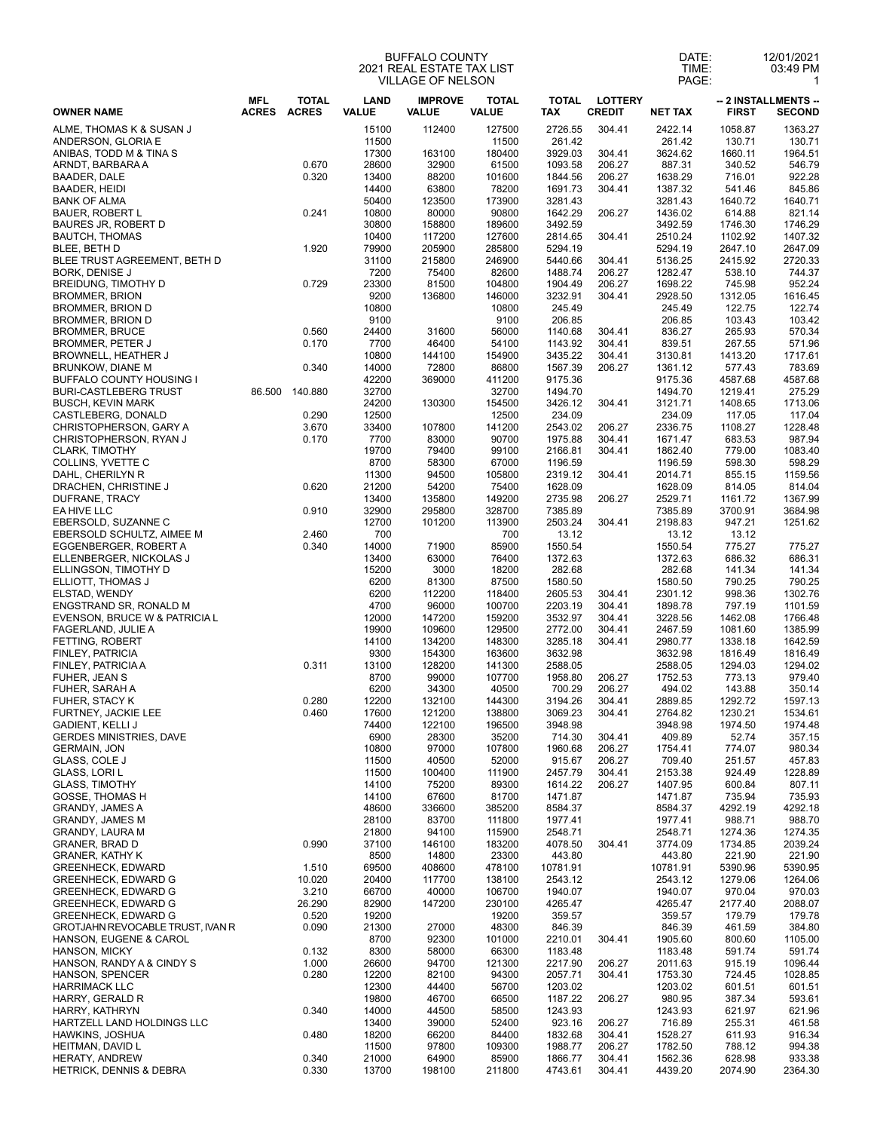## BUFFALO COUNTY 2021 REAL ESTATE TAX LIST VILLAGE OF NELSON

| DATE: | 12/01/2021 |  |  |
|-------|------------|--|--|
| TIME: | 03:49 PM   |  |  |
| PAGE: |            |  |  |

| <b>OWNER NAME</b><br>ALME, THOMAS K & SUSAN J                                                                                                                                                                                                                                                                                                                                                                                                                               | <b>MFL</b><br><b>ACRES</b> | <b>TOTAL</b><br><b>ACRES</b><br>0.670<br>0.320<br>0.241<br>1.920 | <b>LAND</b><br><b>VALUE</b><br>15100<br>11500<br>17300<br>28600<br>13400<br>14400<br>50400 | <b>IMPROVE</b><br><b>VALUE</b><br>112400<br>163100<br>32900<br>88200 | <b>TOTAL</b><br><b>VALUE</b><br>127500<br>11500<br>180400 | <b>TOTAL</b><br><b>TAX</b><br>2726.55<br>261.42 | <b>LOTTERY</b><br><b>CREDIT</b><br>304.41 | <b>NET TAX</b>     | <b>FIRST</b><br>1058.87 | -- 2 INSTALLMENTS --<br><b>SECOND</b> |
|-----------------------------------------------------------------------------------------------------------------------------------------------------------------------------------------------------------------------------------------------------------------------------------------------------------------------------------------------------------------------------------------------------------------------------------------------------------------------------|----------------------------|------------------------------------------------------------------|--------------------------------------------------------------------------------------------|----------------------------------------------------------------------|-----------------------------------------------------------|-------------------------------------------------|-------------------------------------------|--------------------|-------------------------|---------------------------------------|
| ANDERSON, GLORIA E<br>ANIBAS, TODD M & TINA S<br>ARNDT, BARBARA A<br><b>BAADER, DALE</b><br><b>BAADER, HEIDI</b><br><b>BANK OF ALMA</b><br><b>BAUER, ROBERT L</b><br><b>BAURES JR, ROBERT D</b><br><b>BAUTCH, THOMAS</b><br>BLEE, BETH D<br>BLEE TRUST AGREEMENT, BETH D<br><b>BORK, DENISE J</b><br>BREIDUNG, TIMOTHY D<br><b>BROMMER, BRION</b><br><b>BROMMER, BRION D</b><br>BROMMER, BRION D<br><b>BROMMER, BRUCE</b><br>BROMMER, PETER J<br><b>BROWNELL, HEATHER J</b> |                            |                                                                  |                                                                                            |                                                                      |                                                           |                                                 |                                           |                    |                         | 1363.27                               |
|                                                                                                                                                                                                                                                                                                                                                                                                                                                                             |                            |                                                                  |                                                                                            |                                                                      |                                                           |                                                 |                                           | 2422.14<br>261.42  | 130.71                  | 130.71                                |
|                                                                                                                                                                                                                                                                                                                                                                                                                                                                             |                            |                                                                  |                                                                                            |                                                                      | 61500                                                     | 3929.03<br>1093.58                              | 304.41<br>206.27                          | 3624.62<br>887.31  | 1660.11<br>340.52       | 1964.51<br>546.79                     |
|                                                                                                                                                                                                                                                                                                                                                                                                                                                                             |                            |                                                                  |                                                                                            | 63800                                                                | 101600                                                    | 1844.56<br>1691.73                              | 206.27                                    | 1638.29<br>1387.32 | 716.01<br>541.46        | 922.28                                |
|                                                                                                                                                                                                                                                                                                                                                                                                                                                                             |                            |                                                                  |                                                                                            | 123500                                                               | 78200<br>173900                                           | 3281.43                                         | 304.41                                    | 3281.43            | 1640.72                 | 845.86<br>1640.71                     |
|                                                                                                                                                                                                                                                                                                                                                                                                                                                                             |                            |                                                                  | 10800<br>30800                                                                             | 80000<br>158800                                                      | 90800<br>189600                                           | 1642.29<br>3492.59                              | 206.27                                    | 1436.02<br>3492.59 | 614.88<br>1746.30       | 821.14<br>1746.29                     |
|                                                                                                                                                                                                                                                                                                                                                                                                                                                                             |                            |                                                                  | 10400<br>79900                                                                             | 117200<br>205900                                                     | 127600<br>285800                                          | 2814.65<br>5294.19                              | 304.41                                    | 2510.24<br>5294.19 | 1102.92<br>2647.10      | 1407.32<br>2647.09                    |
|                                                                                                                                                                                                                                                                                                                                                                                                                                                                             |                            |                                                                  | 31100<br>7200                                                                              | 215800<br>75400                                                      | 246900<br>82600                                           | 5440.66<br>1488.74                              | 304.41<br>206.27                          | 5136.25<br>1282.47 | 2415.92<br>538.10       | 2720.33<br>744.37                     |
|                                                                                                                                                                                                                                                                                                                                                                                                                                                                             |                            | 0.729                                                            | 23300<br>9200                                                                              | 81500<br>136800                                                      | 104800<br>146000                                          | 1904.49<br>3232.91                              | 206.27<br>304.41                          | 1698.22<br>2928.50 | 745.98<br>1312.05       | 952.24<br>1616.45                     |
|                                                                                                                                                                                                                                                                                                                                                                                                                                                                             |                            |                                                                  | 10800<br>9100                                                                              |                                                                      | 10800<br>9100                                             | 245.49<br>206.85                                |                                           | 245.49<br>206.85   | 122.75<br>103.43        | 122.74<br>103.42                      |
|                                                                                                                                                                                                                                                                                                                                                                                                                                                                             |                            | 0.560<br>0.170                                                   | 24400<br>7700                                                                              | 31600<br>46400                                                       | 56000<br>54100                                            | 1140.68<br>1143.92                              | 304.41<br>304.41                          | 836.27<br>839.51   | 265.93<br>267.55        | 570.34<br>571.96                      |
| BRUNKOW, DIANE M                                                                                                                                                                                                                                                                                                                                                                                                                                                            |                            | 0.340                                                            | 10800<br>14000                                                                             | 144100<br>72800                                                      | 154900<br>86800                                           | 3435.22<br>1567.39                              | 304.41<br>206.27                          | 3130.81<br>1361.12 | 1413.20<br>577.43       | 1717.61<br>783.69                     |
| <b>BUFFALO COUNTY HOUSING I</b><br><b>BURI-CASTLEBERG TRUST</b>                                                                                                                                                                                                                                                                                                                                                                                                             |                            | 86.500 140.880                                                   | 42200<br>32700                                                                             | 369000                                                               | 411200<br>32700                                           | 9175.36<br>1494.70                              |                                           | 9175.36<br>1494.70 | 4587.68<br>1219.41      | 4587.68<br>275.29                     |
| <b>BUSCH, KEVIN MARK</b>                                                                                                                                                                                                                                                                                                                                                                                                                                                    |                            |                                                                  | 24200                                                                                      | 130300                                                               | 154500                                                    | 3426.12<br>234.09                               | 304.41                                    | 3121.71            | 1408.65                 | 1713.06                               |
| CASTLEBERG, DONALD<br>CHRISTOPHERSON, GARY A                                                                                                                                                                                                                                                                                                                                                                                                                                |                            | 0.290<br>3.670                                                   | 12500<br>33400                                                                             | 107800                                                               | 12500<br>141200                                           | 2543.02                                         | 206.27                                    | 234.09<br>2336.75  | 117.05<br>1108.27       | 117.04<br>1228.48                     |
| CHRISTOPHERSON, RYAN J<br><b>CLARK, TIMOTHY</b>                                                                                                                                                                                                                                                                                                                                                                                                                             |                            | 0.170                                                            | 7700<br>19700                                                                              | 83000<br>79400                                                       | 90700<br>99100                                            | 1975.88<br>2166.81                              | 304.41<br>304.41                          | 1671.47<br>1862.40 | 683.53<br>779.00        | 987.94<br>1083.40                     |
| COLLINS, YVETTE C<br>DAHL, CHERILYN R                                                                                                                                                                                                                                                                                                                                                                                                                                       |                            |                                                                  | 8700<br>11300                                                                              | 58300<br>94500                                                       | 67000<br>105800                                           | 1196.59<br>2319.12                              | 304.41                                    | 1196.59<br>2014.71 | 598.30<br>855.15        | 598.29<br>1159.56                     |
| DRACHEN, CHRISTINE J<br>DUFRANE, TRACY                                                                                                                                                                                                                                                                                                                                                                                                                                      |                            | 0.620                                                            | 21200<br>13400                                                                             | 54200<br>135800                                                      | 75400<br>149200                                           | 1628.09<br>2735.98                              | 206.27                                    | 1628.09<br>2529.71 | 814.05<br>1161.72       | 814.04<br>1367.99                     |
| EA HIVE LLC<br>EBERSOLD, SUZANNE C                                                                                                                                                                                                                                                                                                                                                                                                                                          |                            | 0.910                                                            | 32900<br>12700                                                                             | 295800<br>101200                                                     | 328700<br>113900                                          | 7385.89<br>2503.24                              | 304.41                                    | 7385.89<br>2198.83 | 3700.91<br>947.21       | 3684.98<br>1251.62                    |
| EBERSOLD SCHULTZ, AIMEE M<br>EGGENBERGER, ROBERT A                                                                                                                                                                                                                                                                                                                                                                                                                          |                            | 2.460<br>0.340                                                   | 700<br>14000                                                                               | 71900                                                                | 700<br>85900                                              | 13.12<br>1550.54                                |                                           | 13.12<br>1550.54   | 13.12<br>775.27         | 775.27                                |
| ELLENBERGER, NICKOLAS J<br>ELLINGSON, TIMOTHY D                                                                                                                                                                                                                                                                                                                                                                                                                             |                            |                                                                  | 13400<br>15200                                                                             | 63000<br>3000                                                        | 76400<br>18200                                            | 1372.63<br>282.68                               |                                           | 1372.63<br>282.68  | 686.32<br>141.34        | 686.31<br>141.34                      |
| ELLIOTT, THOMAS J                                                                                                                                                                                                                                                                                                                                                                                                                                                           |                            |                                                                  | 6200                                                                                       | 81300                                                                | 87500                                                     | 1580.50                                         |                                           | 1580.50            | 790.25                  | 790.25                                |
| ELSTAD, WENDY<br>ENGSTRAND SR, RONALD M                                                                                                                                                                                                                                                                                                                                                                                                                                     |                            |                                                                  | 6200<br>4700                                                                               | 112200<br>96000                                                      | 118400<br>100700                                          | 2605.53<br>2203.19                              | 304.41<br>304.41                          | 2301.12<br>1898.78 | 998.36<br>797.19        | 1302.76<br>1101.59                    |
| EVENSON, BRUCE W & PATRICIA L<br>FAGERLAND, JULIE A                                                                                                                                                                                                                                                                                                                                                                                                                         |                            |                                                                  | 12000<br>19900                                                                             | 147200<br>109600                                                     | 159200<br>129500                                          | 3532.97<br>2772.00                              | 304.41<br>304.41                          | 3228.56<br>2467.59 | 1462.08<br>1081.60      | 1766.48<br>1385.99                    |
| FETTING, ROBERT<br>FINLEY, PATRICIA                                                                                                                                                                                                                                                                                                                                                                                                                                         |                            |                                                                  | 14100<br>9300                                                                              | 134200<br>154300                                                     | 148300<br>163600                                          | 3285.18<br>3632.98                              | 304.41                                    | 2980.77<br>3632.98 | 1338.18<br>1816.49      | 1642.59<br>1816.49                    |
| FINLEY, PATRICIA A<br>FUHER, JEAN S                                                                                                                                                                                                                                                                                                                                                                                                                                         |                            | 0.311                                                            | 13100<br>8700                                                                              | 128200<br>99000                                                      | 141300<br>107700                                          | 2588.05<br>1958.80                              | 206.27                                    | 2588.05<br>1752.53 | 1294.03<br>773.13       | 1294.02<br>979.40                     |
| FUHER, SARAH A<br>FUHER, STACY K                                                                                                                                                                                                                                                                                                                                                                                                                                            |                            | 0.280                                                            | 6200<br>12200                                                                              | 34300<br>132100                                                      | 40500<br>144300                                           | 700.29<br>3194.26                               | 206.27<br>304.41                          | 494.02<br>2889.85  | 143.88<br>1292.72       | 350.14<br>1597.13                     |
| FURTNEY, JACKIE LEE                                                                                                                                                                                                                                                                                                                                                                                                                                                         |                            | 0.460                                                            | 17600                                                                                      | 121200                                                               | 138800                                                    | 3069.23                                         | 304.41                                    | 2764.82            | 1230.21                 | 1534.61                               |
| <b>GADIENT, KELLI J</b><br><b>GERDES MINISTRIES, DAVE</b>                                                                                                                                                                                                                                                                                                                                                                                                                   |                            |                                                                  | 74400<br>6900                                                                              | 122100<br>28300                                                      | 196500<br>35200                                           | 3948.98<br>714.30                               | 304.41                                    | 3948.98<br>409.89  | 1974.50<br>52.74        | 1974.48<br>357.15                     |
| <b>GERMAIN, JON</b><br>GLASS, COLE J                                                                                                                                                                                                                                                                                                                                                                                                                                        |                            |                                                                  | 10800<br>11500                                                                             | 97000<br>40500                                                       | 107800<br>52000                                           | 1960.68<br>915.67                               | 206.27<br>206.27                          | 1754.41<br>709.40  | 774.07<br>251.57        | 980.34<br>457.83                      |
| GLASS, LORI L<br><b>GLASS, TIMOTHY</b>                                                                                                                                                                                                                                                                                                                                                                                                                                      |                            |                                                                  | 11500<br>14100                                                                             | 100400<br>75200                                                      | 111900<br>89300                                           | 2457.79<br>1614.22                              | 304.41<br>206.27                          | 2153.38<br>1407.95 | 924.49<br>600.84        | 1228.89<br>807.11                     |
| GOSSE, THOMAS H<br>GRANDY, JAMES A                                                                                                                                                                                                                                                                                                                                                                                                                                          |                            |                                                                  | 14100<br>48600                                                                             | 67600<br>336600                                                      | 81700<br>385200                                           | 1471.87<br>8584.37                              |                                           | 1471.87<br>8584.37 | 735.94<br>4292.19       | 735.93<br>4292.18                     |
| <b>GRANDY, JAMES M</b>                                                                                                                                                                                                                                                                                                                                                                                                                                                      |                            |                                                                  | 28100                                                                                      | 83700                                                                | 111800                                                    | 1977.41                                         |                                           | 1977.41            | 988.71                  | 988.70                                |
| GRANDY, LAURA M<br><b>GRANER, BRAD D</b>                                                                                                                                                                                                                                                                                                                                                                                                                                    |                            | 0.990                                                            | 21800<br>37100                                                                             | 94100<br>146100                                                      | 115900<br>183200                                          | 2548.71<br>4078.50                              | 304.41                                    | 2548.71<br>3774.09 | 1274.36<br>1734.85      | 1274.35<br>2039.24                    |
| <b>GRANER, KATHY K</b><br><b>GREENHECK, EDWARD</b>                                                                                                                                                                                                                                                                                                                                                                                                                          |                            | 1.510                                                            | 8500<br>69500                                                                              | 14800<br>408600                                                      | 23300<br>478100                                           | 443.80<br>10781.91                              |                                           | 443.80<br>10781.91 | 221.90<br>5390.96       | 221.90<br>5390.95                     |
| <b>GREENHECK, EDWARD G</b><br><b>GREENHECK, EDWARD G</b>                                                                                                                                                                                                                                                                                                                                                                                                                    |                            | 10.020<br>3.210                                                  | 20400<br>66700                                                                             | 117700<br>40000                                                      | 138100<br>106700                                          | 2543.12<br>1940.07                              |                                           | 2543.12<br>1940.07 | 1279.06<br>970.04       | 1264.06<br>970.03                     |
| <b>GREENHECK, EDWARD G</b><br><b>GREENHECK, EDWARD G</b>                                                                                                                                                                                                                                                                                                                                                                                                                    |                            | 26.290<br>0.520                                                  | 82900<br>19200                                                                             | 147200                                                               | 230100<br>19200                                           | 4265.47<br>359.57                               |                                           | 4265.47<br>359.57  | 2177.40<br>179.79       | 2088.07<br>179.78                     |
| GROTJAHN REVOCABLE TRUST, IVAN R<br>HANSON, EUGENE & CAROL                                                                                                                                                                                                                                                                                                                                                                                                                  |                            | 0.090                                                            | 21300<br>8700                                                                              | 27000<br>92300                                                       | 48300<br>101000                                           | 846.39<br>2210.01                               | 304.41                                    | 846.39<br>1905.60  | 461.59<br>800.60        | 384.80<br>1105.00                     |
| <b>HANSON, MICKY</b>                                                                                                                                                                                                                                                                                                                                                                                                                                                        |                            | 0.132                                                            | 8300                                                                                       | 58000                                                                | 66300                                                     | 1183.48                                         |                                           | 1183.48            | 591.74                  | 591.74                                |
| HANSON, RANDY A & CINDY S<br><b>HANSON, SPENCER</b>                                                                                                                                                                                                                                                                                                                                                                                                                         |                            | 1.000<br>0.280                                                   | 26600<br>12200                                                                             | 94700<br>82100                                                       | 121300<br>94300                                           | 2217.90<br>2057.71                              | 206.27<br>304.41                          | 2011.63<br>1753.30 | 915.19<br>724.45        | 1096.44<br>1028.85                    |
| <b>HARRIMACK LLC</b><br>HARRY, GERALD R                                                                                                                                                                                                                                                                                                                                                                                                                                     |                            |                                                                  | 12300<br>19800                                                                             | 44400<br>46700                                                       | 56700<br>66500                                            | 1203.02<br>1187.22                              | 206.27                                    | 1203.02<br>980.95  | 601.51<br>387.34        | 601.51<br>593.61                      |
| HARRY, KATHRYN<br>HARTZELL LAND HOLDINGS LLC                                                                                                                                                                                                                                                                                                                                                                                                                                |                            | 0.340                                                            | 14000<br>13400                                                                             | 44500<br>39000                                                       | 58500<br>52400                                            | 1243.93<br>923.16                               | 206.27                                    | 1243.93<br>716.89  | 621.97<br>255.31        | 621.96<br>461.58                      |
| HAWKINS, JOSHUA<br>HEITMAN, DAVID L                                                                                                                                                                                                                                                                                                                                                                                                                                         |                            | 0.480                                                            | 18200<br>11500                                                                             | 66200<br>97800                                                       | 84400<br>109300                                           | 1832.68<br>1988.77                              | 304.41<br>206.27                          | 1528.27<br>1782.50 | 611.93<br>788.12        | 916.34<br>994.38                      |
| HERATY, ANDREW<br>HETRICK, DENNIS & DEBRA                                                                                                                                                                                                                                                                                                                                                                                                                                   |                            | 0.340<br>0.330                                                   | 21000<br>13700                                                                             | 64900<br>198100                                                      | 85900<br>211800                                           | 1866.77<br>4743.61                              | 304.41<br>304.41                          | 1562.36<br>4439.20 | 628.98<br>2074.90       | 933.38<br>2364.30                     |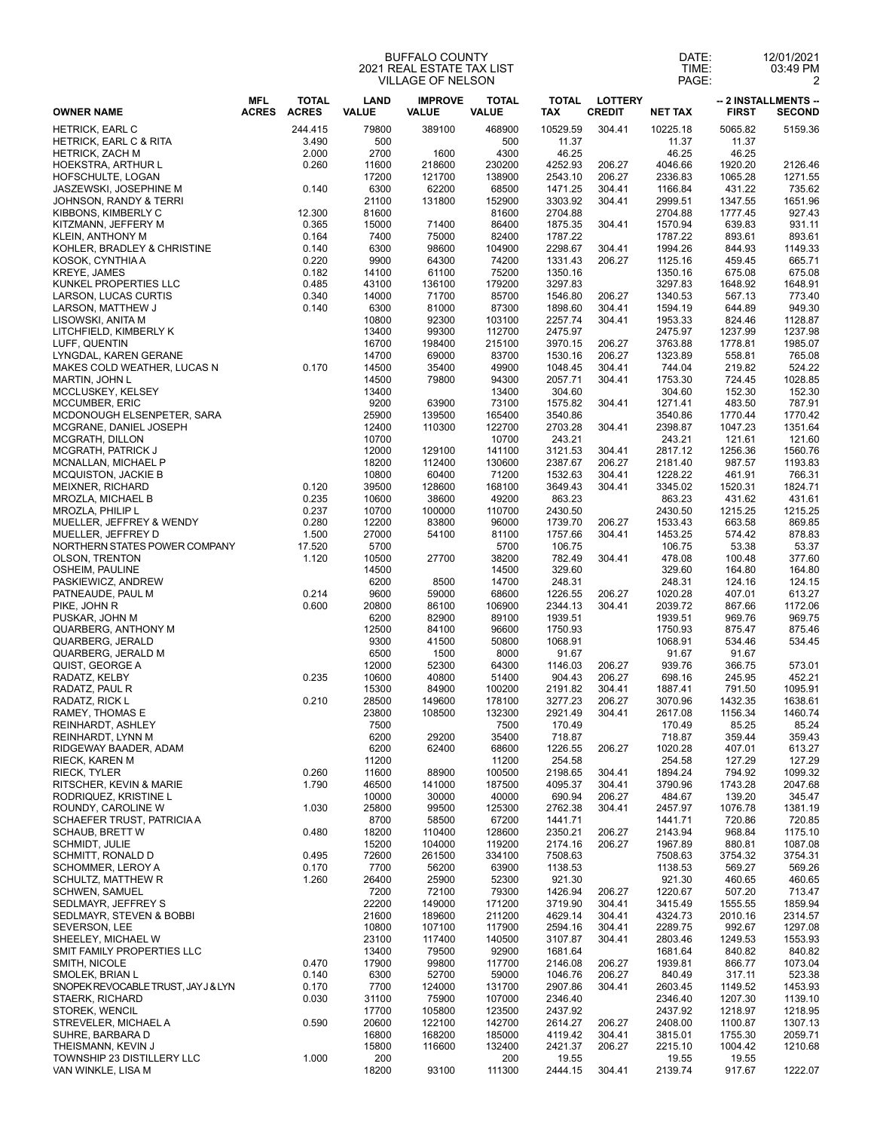## BUFFALO COUNTY 2021 REAL ESTATE TAX LIST VILLAGE OF NELSON

| DATE: | 2/01/2021 |  |
|-------|-----------|--|
| TIME: | 03:49 PM  |  |
| PAGE: |           |  |

| <b>TOTAL</b><br><b>IMPROVE</b><br><b>TOTAL</b><br><b>LOTTERY</b><br>MFL<br><b>LAND</b><br>TOTAL<br>-- 2 INSTALLMENTS --<br><b>ACRES</b><br><b>ACRES</b><br><b>CREDIT</b><br><b>OWNER NAME</b><br><b>VALUE</b><br><b>VALUE</b><br><b>VALUE</b><br><b>TAX</b><br><b>NET TAX</b><br><b>FIRST</b><br>10529.59<br>304.41<br><b>HETRICK, EARL C</b><br>244.415<br>79800<br>389100<br>468900<br>10225.18<br>5065.82<br><b>HETRICK, EARL C &amp; RITA</b><br>3.490<br>500<br>500<br>11.37<br>11.37<br>11.37<br>2.000<br>2700<br>1600<br>4300<br>46.25<br>46.25<br>46.25<br><b>HETRICK, ZACH M</b><br>4252.93<br><b>HOEKSTRA, ARTHUR L</b><br>0.260<br>11600<br>218600<br>230200<br>206.27<br>4046.66<br>1920.20<br>206.27<br>HOFSCHULTE, LOGAN<br>17200<br>121700<br>138900<br>2543.10<br>2336.83<br>1065.28<br>6300<br>62200<br>1471.25<br>JASZEWSKI, JOSEPHINE M<br>0.140<br>68500<br>304.41<br>1166.84<br>431.22<br>21100<br>131800<br>152900<br>3303.92<br>304.41<br>2999.51<br>1347.55<br>JOHNSON, RANDY & TERRI<br>12.300<br>81600<br>KIBBONS, KIMBERLY C<br>81600<br>2704.88<br>2704.88<br>1777.45<br>KITZMANN, JEFFERY M<br>0.365<br>15000<br>71400<br>86400<br>1875.35<br>304.41<br>1570.94<br>639.83<br>7400<br>75000<br>1787.22<br>KLEIN, ANTHONY M<br>0.164<br>82400<br>1787.22<br>893.61<br>0.140<br>6300<br>98600<br>104900<br>2298.67<br>304.41<br>1994.26<br>844.93<br>KOHLER, BRADLEY & CHRISTINE<br>0.220<br>9900<br>64300<br>74200<br>1331.43<br>206.27<br>KOSOK, CYNTHIA A<br>1125.16<br>459.45<br>0.182<br>75200<br><b>KREYE, JAMES</b><br>14100<br>61100<br>1350.16<br>1350.16<br>675.08<br>KUNKEL PROPERTIES LLC<br>0.485<br>43100<br>136100<br>179200<br>3297.83<br>3297.83<br>1648.92<br>71700<br>206.27<br>0.340<br>14000<br>85700<br>1546.80<br>567.13<br>LARSON, LUCAS CURTIS<br>1340.53<br>0.140<br>6300<br>81000<br>87300<br>1898.60<br>304.41<br>1594.19<br>LARSON, MATTHEW J<br>644.89<br>92300<br>2257.74<br>LISOWSKI, ANITA M<br>10800<br>103100<br>304.41<br>1953.33<br>824.46<br>LITCHFIELD, KIMBERLY K<br>13400<br>99300<br>112700<br>2475.97<br>2475.97<br>1237.99<br>16700<br>3970.15<br>206.27<br>1778.81<br>LUFF, QUENTIN<br>198400<br>215100<br>3763.88<br>LYNGDAL. KAREN GERANE<br>14700<br>69000<br>83700<br>1530.16<br>206.27<br>1323.89<br>558.81<br>MAKES COLD WEATHER, LUCAS N<br>0.170<br>14500<br>35400<br>49900<br>1048.45<br>304.41<br>744.04<br>219.82<br>MARTIN, JOHN L<br>14500<br>79800<br>94300<br>2057.71<br>304.41<br>1753.30<br>724.45<br>MCCLUSKEY, KELSEY<br>13400<br>13400<br>304.60<br>304.60<br>152.30<br>MCCUMBER, ERIC<br>9200<br>73100<br>1575.82<br>304.41<br>483.50<br>63900<br>1271.41<br>25900<br>139500<br>165400<br>3540.86<br>3540.86<br>1770.44<br>12400<br>110300<br>122700<br>2703.28<br>2398.87<br>1047.23<br>MCGRANE, DANIEL JOSEPH<br>304.41<br>10700<br>243.21<br>10700<br>243.21<br>121.61<br><b>MCGRATH, PATRICK J</b><br>12000<br>129100<br>3121.53<br>304.41<br>2817.12<br>141100<br>1256.36<br>18200<br>112400<br>2387.67<br>206.27<br>MCNALLAN, MICHAEL P<br>130600<br>2181.40<br>987.57<br>10800<br>1532.63<br>60400<br>71200<br>304.41<br>1228.22<br>461.91<br>0.120<br>39500<br>128600<br>168100<br>3649.43<br>304.41<br>3345.02<br>1520.31<br>863.23<br>0.235<br>10600<br>38600<br>49200<br>863.23<br>431.62<br>0.237<br>2430.50<br>MROZLA, PHILIP L<br>10700<br>100000<br>110700<br>2430.50<br>1215.25<br>0.280<br>12200<br>83800<br>96000<br>1739.70<br>206.27<br>1533.43<br>663.58<br>27000<br>1757.66<br>304.41<br>1.500<br>54100<br>81100<br>1453.25<br>574.42<br>5700<br>106.75<br>17.520<br>5700<br>106.75<br>53.38<br><b>OLSON, TRENTON</b><br>1.120<br>10500<br>27700<br>38200<br>782.49<br>304.41<br>478.08<br>100.48<br>OSHEIM, PAULINE<br>329.60<br>14500<br>14500<br>329.60<br>164.80<br>PASKIEWICZ, ANDREW<br>6200<br>8500<br>14700<br>248.31<br>248.31<br>124.16<br>PATNEAUDE, PAUL M<br>0.214<br>9600<br>59000<br>68600<br>1226.55<br>206.27<br>1020.28<br>407.01<br>PIKE, JOHN R<br>0.600<br>20800<br>86100<br>106900<br>2344.13<br>304.41<br>2039.72<br>867.66<br>PUSKAR, JOHN M<br>6200<br>82900<br>1939.51<br>89100<br>1939.51<br>969.76<br>12500<br><b>QUARBERG, ANTHONY M</b><br>84100<br>96600<br>1750.93<br>1750.93<br>875.47<br>9300<br>50800<br>QUARBERG, JERALD<br>41500<br>1068.91<br>1068.91<br>534.46<br>QUARBERG, JERALD M<br>6500<br>1500<br>8000<br>91.67<br>91.67<br>91.67<br>12000<br>QUIST, GEORGE A<br>52300<br>64300<br>206.27<br>1146.03<br>939.76<br>366.75<br>RADATZ, KELBY<br>0.235<br>10600<br>40800<br>904.43<br>206.27<br>698.16<br>51400<br>245.95<br>RADATZ, PAUL R<br>304.41<br>15300<br>84900<br>100200<br>2191.82<br>1887.41<br>791.50<br>RADATZ, RICK L<br>0.210<br>28500<br>149600<br>3277.23<br>206.27<br>1432.35<br>178100<br>3070.96<br>RAMEY, THOMAS E<br>23800<br>108500<br>132300<br>2921.49<br>304.41<br>2617.08<br>1156.34<br>7500<br>170.49<br><b>REINHARDT, ASHLEY</b><br>7500<br>170.49<br>85.25<br>6200<br>35400<br>REINHARDT, LYNN M<br>29200<br>718.87<br>718.87<br>359.44<br>6200<br>68600<br>1226.55<br>206.27<br>62400<br>1020.28<br>407.01<br>11200<br>254.58<br>11200<br>254.58<br>127.29<br>RIECK, TYLER<br>0.260<br>11600<br>88900<br>100500<br>2198.65<br>304.41<br>1894.24<br>794.92<br>1.790<br>46500<br>4095.37<br>304.41<br>RITSCHER, KEVIN & MARIE<br>141000<br>187500<br>3790.96<br>1743.28<br>206.27<br>RODRIQUEZ, KRISTINE L<br>10000<br>30000<br>40000<br>690.94<br>484.67<br>139.20<br>1.030<br>25800<br>99500<br>2762.38<br>304.41<br>ROUNDY, CAROLINE W<br>125300<br>2457.97<br>1076.78<br>8700<br>67200<br>1441.71<br>SCHAEFER TRUST, PATRICIA A<br>58500<br>1441.71<br>720.86<br>18200<br>2350.21<br>0.480<br>128600<br>206.27<br>2143.94<br>968.84<br>110400<br>15200<br>206.27<br><b>SCHMIDT, JULIE</b><br>104000<br>119200<br>2174.16<br>1967.89<br>880.81<br>72600<br>7508.63<br>0.495<br>261500<br>334100<br>7508.63<br>3754.32<br>0.170<br>7700<br>56200<br>63900<br>1138.53<br>569.27<br>1138.53<br><b>SCHULTZ, MATTHEW R</b><br>1.260<br>26400<br>25900<br>52300<br>921.30<br>921.30<br>460.65<br>7200<br>72100<br>79300<br>1426.94<br>206.27<br>1220.67<br>507.20<br>22200<br>3719.90<br>304.41<br>149000<br>171200<br>3415.49<br>1555.55<br>21600<br>189600<br>211200<br>4629.14<br>304.41<br>4324.73<br>2010.16<br>10800<br>304.41<br>107100<br>117900<br>2594.16<br>2289.75<br>992.67<br>23100<br>117400<br>140500<br>3107.87<br>304.41<br>2803.46<br>1249.53<br>13400<br>79500<br>92900<br>1681.64<br>1681.64<br>840.82<br>0.470<br>17900<br>99800<br>117700<br>2146.08<br>206.27<br>1939.81<br>866.77<br>0.140<br>6300<br>52700<br>59000<br>1046.76<br>206.27<br>840.49<br>317.11<br>2907.86<br>SNOPEK REVOCABLE TRUST, JAY J & LYN<br>0.170<br>7700<br>124000<br>131700<br>304.41<br>2603.45<br>1149.52<br>0.030<br>31100<br>75900<br>107000<br>2346.40<br>2346.40<br>1207.30<br>17700<br>105800<br>123500<br>2437.92<br>2437.92<br>1218.97<br>0.590<br>20600<br>122100<br>142700<br>2408.00<br>2614.27<br>206.27<br>1100.87<br>16800<br>168200<br>4119.42<br>304.41<br>3815.01<br>1755.30<br>185000 |                    |  |       | <b>BUFFALO COUNTY</b><br>2021 REAL ESTATE TAX LIST<br>VILLAGE OF NELSON |        |         |        | DATE:<br>TIME:<br>PAGE: |         | 12/01/2021<br>03:49 PM<br>$\overline{2}$ |
|-------------------------------------------------------------------------------------------------------------------------------------------------------------------------------------------------------------------------------------------------------------------------------------------------------------------------------------------------------------------------------------------------------------------------------------------------------------------------------------------------------------------------------------------------------------------------------------------------------------------------------------------------------------------------------------------------------------------------------------------------------------------------------------------------------------------------------------------------------------------------------------------------------------------------------------------------------------------------------------------------------------------------------------------------------------------------------------------------------------------------------------------------------------------------------------------------------------------------------------------------------------------------------------------------------------------------------------------------------------------------------------------------------------------------------------------------------------------------------------------------------------------------------------------------------------------------------------------------------------------------------------------------------------------------------------------------------------------------------------------------------------------------------------------------------------------------------------------------------------------------------------------------------------------------------------------------------------------------------------------------------------------------------------------------------------------------------------------------------------------------------------------------------------------------------------------------------------------------------------------------------------------------------------------------------------------------------------------------------------------------------------------------------------------------------------------------------------------------------------------------------------------------------------------------------------------------------------------------------------------------------------------------------------------------------------------------------------------------------------------------------------------------------------------------------------------------------------------------------------------------------------------------------------------------------------------------------------------------------------------------------------------------------------------------------------------------------------------------------------------------------------------------------------------------------------------------------------------------------------------------------------------------------------------------------------------------------------------------------------------------------------------------------------------------------------------------------------------------------------------------------------------------------------------------------------------------------------------------------------------------------------------------------------------------------------------------------------------------------------------------------------------------------------------------------------------------------------------------------------------------------------------------------------------------------------------------------------------------------------------------------------------------------------------------------------------------------------------------------------------------------------------------------------------------------------------------------------------------------------------------------------------------------------------------------------------------------------------------------------------------------------------------------------------------------------------------------------------------------------------------------------------------------------------------------------------------------------------------------------------------------------------------------------------------------------------------------------------------------------------------------------------------------------------------------------------------------------------------------------------------------------------------------------------------------------------------------------------------------------------------------------------------------------------------------------------------------------------------------------------------------------------------------------------------------------------------------------------------------------------------------------------------------------------------------------------------------------------------------------------------------------------------------------------------------------------------------------------------------------------------------------------------------------------------------------------------------------------------------------------------------------------------------------------------------------------------------------------------------------------------------------------------------------------------------------------------------------------------------------------------------------------------------------------------------------------------------------------------------------------------------------------------------------------------------------------------------------------------------------------------------------------------------------------------------------------------------------------------------------------------------------------------------------------------------------------------------------------------------------------------------------------------------------------------------------------------------------------------------------------------------------------------------------------------------------------------------------------------------------------------------------------------------------------------------------------------------------------------------------------------------------------------------------------------------------------------------------------------------------------------------------------------------------------------------------------------------------------------------------------------------------------------------------------------------------------------------------------------|--------------------|--|-------|-------------------------------------------------------------------------|--------|---------|--------|-------------------------|---------|------------------------------------------|
| 5159.36<br>893.61<br>MCDONOUGH ELSENPETER, SARA<br>MCGRATH, DILLON<br>MCQUISTON, JACKIE B<br>766.31<br>MEIXNER, RICHARD<br>MROZLA, MICHAEL B<br>MUELLER, JEFFREY & WENDY<br>MUELLER, JEFFREY D<br>NORTHERN STATES POWER COMPANY<br>452.21<br>1095.91<br>1638.61<br>RIDGEWAY BAADER, ADAM<br><b>RIECK, KAREN M</b><br><b>SCHAUB, BRETT W</b><br>SCHMITT, RONALD D<br>3754.31<br><b>SCHOMMER, LEROY A</b><br><b>SCHWEN, SAMUEL</b><br>SEDLMAYR, JEFFREY S<br><b>SEDLMAYR, STEVEN &amp; BOBBI</b><br>SEVERSON, LEE<br>SHEELEY, MICHAEL W<br>SMIT FAMILY PROPERTIES LLC<br>SMITH, NICOLE<br>SMOLEK, BRIAN L<br><b>STAERK, RICHARD</b><br>STOREK, WENCIL<br>STREVELER, MICHAEL A<br>SUHRE, BARBARA D                                                                                                                                                                                                                                                                                                                                                                                                                                                                                                                                                                                                                                                                                                                                                                                                                                                                                                                                                                                                                                                                                                                                                                                                                                                                                                                                                                                                                                                                                                                                                                                                                                                                                                                                                                                                                                                                                                                                                                                                                                                                                                                                                                                                                                                                                                                                                                                                                                                                                                                                                                                                                                                                                                                                                                                                                                                                                                                                                                                                                                                                                                                                                                                                                                                                                                                                                                                                                                                                                                                                                                                                                                                                                                                                                                                                                                                                                                                                                                                                                                                                                                                                                                                                                                                                                                                                                                                                                                                                                                                                                                                                                                                                                                                                                                                                                                                                                                                                                                                                                                                                                                                                                                                                                                                                                                                                                                                                                                                                                                                                                                                                                                                                                                                                                                                                                                                                                                                                                                                                                                                                                                                                                                                                                                                                                                                                                                                                 |                    |  |       |                                                                         |        |         |        |                         |         | <b>SECOND</b>                            |
| 2126.46<br>1651.96<br>927.43<br>931.11<br>1149.33<br>665.71<br>675.08<br>1648.91<br>773.40<br>949.30<br>1128.87<br>1237.98<br>1985.07<br>765.08<br>524.22<br>1028.85<br>152.30<br>787.91<br>1351.64<br>1193.83<br>1824.71<br>431.61<br>1215.25<br>878.83<br>53.37<br>377.60<br>164.80<br>613.27<br>1172.06<br>875.46<br>573.01<br>1460.74<br>85.24<br>359.43<br>613.27<br>127.29<br>2047.68<br>345.47<br>720.85<br>1175.10<br>1087.08<br>713.47<br>1859.94<br>2314.57<br>1297.08<br>1553.93<br>840.82<br>1073.04<br>523.38<br>1453.93<br>1139.10<br>1218.95<br>2059.71                                                                                                                                                                                                                                                                                                                                                                                                                                                                                                                                                                                                                                                                                                                                                                                                                                                                                                                                                                                                                                                                                                                                                                                                                                                                                                                                                                                                                                                                                                                                                                                                                                                                                                                                                                                                                                                                                                                                                                                                                                                                                                                                                                                                                                                                                                                                                                                                                                                                                                                                                                                                                                                                                                                                                                                                                                                                                                                                                                                                                                                                                                                                                                                                                                                                                                                                                                                                                                                                                                                                                                                                                                                                                                                                                                                                                                                                                                                                                                                                                                                                                                                                                                                                                                                                                                                                                                                                                                                                                                                                                                                                                                                                                                                                                                                                                                                                                                                                                                                                                                                                                                                                                                                                                                                                                                                                                                                                                                                                                                                                                                                                                                                                                                                                                                                                                                                                                                                                                                                                                                                                                                                                                                                                                                                                                                                                                                                                                                                                                                                          |                    |  |       |                                                                         |        |         |        |                         |         |                                          |
| 1271.55<br>735.62                                                                                                                                                                                                                                                                                                                                                                                                                                                                                                                                                                                                                                                                                                                                                                                                                                                                                                                                                                                                                                                                                                                                                                                                                                                                                                                                                                                                                                                                                                                                                                                                                                                                                                                                                                                                                                                                                                                                                                                                                                                                                                                                                                                                                                                                                                                                                                                                                                                                                                                                                                                                                                                                                                                                                                                                                                                                                                                                                                                                                                                                                                                                                                                                                                                                                                                                                                                                                                                                                                                                                                                                                                                                                                                                                                                                                                                                                                                                                                                                                                                                                                                                                                                                                                                                                                                                                                                                                                                                                                                                                                                                                                                                                                                                                                                                                                                                                                                                                                                                                                                                                                                                                                                                                                                                                                                                                                                                                                                                                                                                                                                                                                                                                                                                                                                                                                                                                                                                                                                                                                                                                                                                                                                                                                                                                                                                                                                                                                                                                                                                                                                                                                                                                                                                                                                                                                                                                                                                                                                                                                                                               |                    |  |       |                                                                         |        |         |        |                         |         |                                          |
| 1770.42<br>121.60<br>1560.76<br>869.85<br>124.15<br>969.75<br>534.45<br>1099.32<br>1381.19<br>569.26<br>460.65<br>1307.13                                                                                                                                                                                                                                                                                                                                                                                                                                                                                                                                                                                                                                                                                                                                                                                                                                                                                                                                                                                                                                                                                                                                                                                                                                                                                                                                                                                                                                                                                                                                                                                                                                                                                                                                                                                                                                                                                                                                                                                                                                                                                                                                                                                                                                                                                                                                                                                                                                                                                                                                                                                                                                                                                                                                                                                                                                                                                                                                                                                                                                                                                                                                                                                                                                                                                                                                                                                                                                                                                                                                                                                                                                                                                                                                                                                                                                                                                                                                                                                                                                                                                                                                                                                                                                                                                                                                                                                                                                                                                                                                                                                                                                                                                                                                                                                                                                                                                                                                                                                                                                                                                                                                                                                                                                                                                                                                                                                                                                                                                                                                                                                                                                                                                                                                                                                                                                                                                                                                                                                                                                                                                                                                                                                                                                                                                                                                                                                                                                                                                                                                                                                                                                                                                                                                                                                                                                                                                                                                                                       |                    |  |       |                                                                         |        |         |        |                         |         |                                          |
|                                                                                                                                                                                                                                                                                                                                                                                                                                                                                                                                                                                                                                                                                                                                                                                                                                                                                                                                                                                                                                                                                                                                                                                                                                                                                                                                                                                                                                                                                                                                                                                                                                                                                                                                                                                                                                                                                                                                                                                                                                                                                                                                                                                                                                                                                                                                                                                                                                                                                                                                                                                                                                                                                                                                                                                                                                                                                                                                                                                                                                                                                                                                                                                                                                                                                                                                                                                                                                                                                                                                                                                                                                                                                                                                                                                                                                                                                                                                                                                                                                                                                                                                                                                                                                                                                                                                                                                                                                                                                                                                                                                                                                                                                                                                                                                                                                                                                                                                                                                                                                                                                                                                                                                                                                                                                                                                                                                                                                                                                                                                                                                                                                                                                                                                                                                                                                                                                                                                                                                                                                                                                                                                                                                                                                                                                                                                                                                                                                                                                                                                                                                                                                                                                                                                                                                                                                                                                                                                                                                                                                                                                                 |                    |  |       |                                                                         |        |         |        |                         |         |                                          |
|                                                                                                                                                                                                                                                                                                                                                                                                                                                                                                                                                                                                                                                                                                                                                                                                                                                                                                                                                                                                                                                                                                                                                                                                                                                                                                                                                                                                                                                                                                                                                                                                                                                                                                                                                                                                                                                                                                                                                                                                                                                                                                                                                                                                                                                                                                                                                                                                                                                                                                                                                                                                                                                                                                                                                                                                                                                                                                                                                                                                                                                                                                                                                                                                                                                                                                                                                                                                                                                                                                                                                                                                                                                                                                                                                                                                                                                                                                                                                                                                                                                                                                                                                                                                                                                                                                                                                                                                                                                                                                                                                                                                                                                                                                                                                                                                                                                                                                                                                                                                                                                                                                                                                                                                                                                                                                                                                                                                                                                                                                                                                                                                                                                                                                                                                                                                                                                                                                                                                                                                                                                                                                                                                                                                                                                                                                                                                                                                                                                                                                                                                                                                                                                                                                                                                                                                                                                                                                                                                                                                                                                                                                 |                    |  |       |                                                                         |        |         |        |                         |         |                                          |
|                                                                                                                                                                                                                                                                                                                                                                                                                                                                                                                                                                                                                                                                                                                                                                                                                                                                                                                                                                                                                                                                                                                                                                                                                                                                                                                                                                                                                                                                                                                                                                                                                                                                                                                                                                                                                                                                                                                                                                                                                                                                                                                                                                                                                                                                                                                                                                                                                                                                                                                                                                                                                                                                                                                                                                                                                                                                                                                                                                                                                                                                                                                                                                                                                                                                                                                                                                                                                                                                                                                                                                                                                                                                                                                                                                                                                                                                                                                                                                                                                                                                                                                                                                                                                                                                                                                                                                                                                                                                                                                                                                                                                                                                                                                                                                                                                                                                                                                                                                                                                                                                                                                                                                                                                                                                                                                                                                                                                                                                                                                                                                                                                                                                                                                                                                                                                                                                                                                                                                                                                                                                                                                                                                                                                                                                                                                                                                                                                                                                                                                                                                                                                                                                                                                                                                                                                                                                                                                                                                                                                                                                                                 |                    |  |       |                                                                         |        |         |        |                         |         |                                          |
|                                                                                                                                                                                                                                                                                                                                                                                                                                                                                                                                                                                                                                                                                                                                                                                                                                                                                                                                                                                                                                                                                                                                                                                                                                                                                                                                                                                                                                                                                                                                                                                                                                                                                                                                                                                                                                                                                                                                                                                                                                                                                                                                                                                                                                                                                                                                                                                                                                                                                                                                                                                                                                                                                                                                                                                                                                                                                                                                                                                                                                                                                                                                                                                                                                                                                                                                                                                                                                                                                                                                                                                                                                                                                                                                                                                                                                                                                                                                                                                                                                                                                                                                                                                                                                                                                                                                                                                                                                                                                                                                                                                                                                                                                                                                                                                                                                                                                                                                                                                                                                                                                                                                                                                                                                                                                                                                                                                                                                                                                                                                                                                                                                                                                                                                                                                                                                                                                                                                                                                                                                                                                                                                                                                                                                                                                                                                                                                                                                                                                                                                                                                                                                                                                                                                                                                                                                                                                                                                                                                                                                                                                                 |                    |  |       |                                                                         |        |         |        |                         |         |                                          |
|                                                                                                                                                                                                                                                                                                                                                                                                                                                                                                                                                                                                                                                                                                                                                                                                                                                                                                                                                                                                                                                                                                                                                                                                                                                                                                                                                                                                                                                                                                                                                                                                                                                                                                                                                                                                                                                                                                                                                                                                                                                                                                                                                                                                                                                                                                                                                                                                                                                                                                                                                                                                                                                                                                                                                                                                                                                                                                                                                                                                                                                                                                                                                                                                                                                                                                                                                                                                                                                                                                                                                                                                                                                                                                                                                                                                                                                                                                                                                                                                                                                                                                                                                                                                                                                                                                                                                                                                                                                                                                                                                                                                                                                                                                                                                                                                                                                                                                                                                                                                                                                                                                                                                                                                                                                                                                                                                                                                                                                                                                                                                                                                                                                                                                                                                                                                                                                                                                                                                                                                                                                                                                                                                                                                                                                                                                                                                                                                                                                                                                                                                                                                                                                                                                                                                                                                                                                                                                                                                                                                                                                                                                 |                    |  |       |                                                                         |        |         |        |                         |         |                                          |
|                                                                                                                                                                                                                                                                                                                                                                                                                                                                                                                                                                                                                                                                                                                                                                                                                                                                                                                                                                                                                                                                                                                                                                                                                                                                                                                                                                                                                                                                                                                                                                                                                                                                                                                                                                                                                                                                                                                                                                                                                                                                                                                                                                                                                                                                                                                                                                                                                                                                                                                                                                                                                                                                                                                                                                                                                                                                                                                                                                                                                                                                                                                                                                                                                                                                                                                                                                                                                                                                                                                                                                                                                                                                                                                                                                                                                                                                                                                                                                                                                                                                                                                                                                                                                                                                                                                                                                                                                                                                                                                                                                                                                                                                                                                                                                                                                                                                                                                                                                                                                                                                                                                                                                                                                                                                                                                                                                                                                                                                                                                                                                                                                                                                                                                                                                                                                                                                                                                                                                                                                                                                                                                                                                                                                                                                                                                                                                                                                                                                                                                                                                                                                                                                                                                                                                                                                                                                                                                                                                                                                                                                                                 |                    |  |       |                                                                         |        |         |        |                         |         |                                          |
|                                                                                                                                                                                                                                                                                                                                                                                                                                                                                                                                                                                                                                                                                                                                                                                                                                                                                                                                                                                                                                                                                                                                                                                                                                                                                                                                                                                                                                                                                                                                                                                                                                                                                                                                                                                                                                                                                                                                                                                                                                                                                                                                                                                                                                                                                                                                                                                                                                                                                                                                                                                                                                                                                                                                                                                                                                                                                                                                                                                                                                                                                                                                                                                                                                                                                                                                                                                                                                                                                                                                                                                                                                                                                                                                                                                                                                                                                                                                                                                                                                                                                                                                                                                                                                                                                                                                                                                                                                                                                                                                                                                                                                                                                                                                                                                                                                                                                                                                                                                                                                                                                                                                                                                                                                                                                                                                                                                                                                                                                                                                                                                                                                                                                                                                                                                                                                                                                                                                                                                                                                                                                                                                                                                                                                                                                                                                                                                                                                                                                                                                                                                                                                                                                                                                                                                                                                                                                                                                                                                                                                                                                                 |                    |  |       |                                                                         |        |         |        |                         |         |                                          |
|                                                                                                                                                                                                                                                                                                                                                                                                                                                                                                                                                                                                                                                                                                                                                                                                                                                                                                                                                                                                                                                                                                                                                                                                                                                                                                                                                                                                                                                                                                                                                                                                                                                                                                                                                                                                                                                                                                                                                                                                                                                                                                                                                                                                                                                                                                                                                                                                                                                                                                                                                                                                                                                                                                                                                                                                                                                                                                                                                                                                                                                                                                                                                                                                                                                                                                                                                                                                                                                                                                                                                                                                                                                                                                                                                                                                                                                                                                                                                                                                                                                                                                                                                                                                                                                                                                                                                                                                                                                                                                                                                                                                                                                                                                                                                                                                                                                                                                                                                                                                                                                                                                                                                                                                                                                                                                                                                                                                                                                                                                                                                                                                                                                                                                                                                                                                                                                                                                                                                                                                                                                                                                                                                                                                                                                                                                                                                                                                                                                                                                                                                                                                                                                                                                                                                                                                                                                                                                                                                                                                                                                                                                 |                    |  |       |                                                                         |        |         |        |                         |         |                                          |
|                                                                                                                                                                                                                                                                                                                                                                                                                                                                                                                                                                                                                                                                                                                                                                                                                                                                                                                                                                                                                                                                                                                                                                                                                                                                                                                                                                                                                                                                                                                                                                                                                                                                                                                                                                                                                                                                                                                                                                                                                                                                                                                                                                                                                                                                                                                                                                                                                                                                                                                                                                                                                                                                                                                                                                                                                                                                                                                                                                                                                                                                                                                                                                                                                                                                                                                                                                                                                                                                                                                                                                                                                                                                                                                                                                                                                                                                                                                                                                                                                                                                                                                                                                                                                                                                                                                                                                                                                                                                                                                                                                                                                                                                                                                                                                                                                                                                                                                                                                                                                                                                                                                                                                                                                                                                                                                                                                                                                                                                                                                                                                                                                                                                                                                                                                                                                                                                                                                                                                                                                                                                                                                                                                                                                                                                                                                                                                                                                                                                                                                                                                                                                                                                                                                                                                                                                                                                                                                                                                                                                                                                                                 |                    |  |       |                                                                         |        |         |        |                         |         |                                          |
|                                                                                                                                                                                                                                                                                                                                                                                                                                                                                                                                                                                                                                                                                                                                                                                                                                                                                                                                                                                                                                                                                                                                                                                                                                                                                                                                                                                                                                                                                                                                                                                                                                                                                                                                                                                                                                                                                                                                                                                                                                                                                                                                                                                                                                                                                                                                                                                                                                                                                                                                                                                                                                                                                                                                                                                                                                                                                                                                                                                                                                                                                                                                                                                                                                                                                                                                                                                                                                                                                                                                                                                                                                                                                                                                                                                                                                                                                                                                                                                                                                                                                                                                                                                                                                                                                                                                                                                                                                                                                                                                                                                                                                                                                                                                                                                                                                                                                                                                                                                                                                                                                                                                                                                                                                                                                                                                                                                                                                                                                                                                                                                                                                                                                                                                                                                                                                                                                                                                                                                                                                                                                                                                                                                                                                                                                                                                                                                                                                                                                                                                                                                                                                                                                                                                                                                                                                                                                                                                                                                                                                                                                                 |                    |  |       |                                                                         |        |         |        |                         |         |                                          |
|                                                                                                                                                                                                                                                                                                                                                                                                                                                                                                                                                                                                                                                                                                                                                                                                                                                                                                                                                                                                                                                                                                                                                                                                                                                                                                                                                                                                                                                                                                                                                                                                                                                                                                                                                                                                                                                                                                                                                                                                                                                                                                                                                                                                                                                                                                                                                                                                                                                                                                                                                                                                                                                                                                                                                                                                                                                                                                                                                                                                                                                                                                                                                                                                                                                                                                                                                                                                                                                                                                                                                                                                                                                                                                                                                                                                                                                                                                                                                                                                                                                                                                                                                                                                                                                                                                                                                                                                                                                                                                                                                                                                                                                                                                                                                                                                                                                                                                                                                                                                                                                                                                                                                                                                                                                                                                                                                                                                                                                                                                                                                                                                                                                                                                                                                                                                                                                                                                                                                                                                                                                                                                                                                                                                                                                                                                                                                                                                                                                                                                                                                                                                                                                                                                                                                                                                                                                                                                                                                                                                                                                                                                 |                    |  |       |                                                                         |        |         |        |                         |         |                                          |
|                                                                                                                                                                                                                                                                                                                                                                                                                                                                                                                                                                                                                                                                                                                                                                                                                                                                                                                                                                                                                                                                                                                                                                                                                                                                                                                                                                                                                                                                                                                                                                                                                                                                                                                                                                                                                                                                                                                                                                                                                                                                                                                                                                                                                                                                                                                                                                                                                                                                                                                                                                                                                                                                                                                                                                                                                                                                                                                                                                                                                                                                                                                                                                                                                                                                                                                                                                                                                                                                                                                                                                                                                                                                                                                                                                                                                                                                                                                                                                                                                                                                                                                                                                                                                                                                                                                                                                                                                                                                                                                                                                                                                                                                                                                                                                                                                                                                                                                                                                                                                                                                                                                                                                                                                                                                                                                                                                                                                                                                                                                                                                                                                                                                                                                                                                                                                                                                                                                                                                                                                                                                                                                                                                                                                                                                                                                                                                                                                                                                                                                                                                                                                                                                                                                                                                                                                                                                                                                                                                                                                                                                                                 |                    |  |       |                                                                         |        |         |        |                         |         |                                          |
|                                                                                                                                                                                                                                                                                                                                                                                                                                                                                                                                                                                                                                                                                                                                                                                                                                                                                                                                                                                                                                                                                                                                                                                                                                                                                                                                                                                                                                                                                                                                                                                                                                                                                                                                                                                                                                                                                                                                                                                                                                                                                                                                                                                                                                                                                                                                                                                                                                                                                                                                                                                                                                                                                                                                                                                                                                                                                                                                                                                                                                                                                                                                                                                                                                                                                                                                                                                                                                                                                                                                                                                                                                                                                                                                                                                                                                                                                                                                                                                                                                                                                                                                                                                                                                                                                                                                                                                                                                                                                                                                                                                                                                                                                                                                                                                                                                                                                                                                                                                                                                                                                                                                                                                                                                                                                                                                                                                                                                                                                                                                                                                                                                                                                                                                                                                                                                                                                                                                                                                                                                                                                                                                                                                                                                                                                                                                                                                                                                                                                                                                                                                                                                                                                                                                                                                                                                                                                                                                                                                                                                                                                                 |                    |  |       |                                                                         |        |         |        |                         |         |                                          |
|                                                                                                                                                                                                                                                                                                                                                                                                                                                                                                                                                                                                                                                                                                                                                                                                                                                                                                                                                                                                                                                                                                                                                                                                                                                                                                                                                                                                                                                                                                                                                                                                                                                                                                                                                                                                                                                                                                                                                                                                                                                                                                                                                                                                                                                                                                                                                                                                                                                                                                                                                                                                                                                                                                                                                                                                                                                                                                                                                                                                                                                                                                                                                                                                                                                                                                                                                                                                                                                                                                                                                                                                                                                                                                                                                                                                                                                                                                                                                                                                                                                                                                                                                                                                                                                                                                                                                                                                                                                                                                                                                                                                                                                                                                                                                                                                                                                                                                                                                                                                                                                                                                                                                                                                                                                                                                                                                                                                                                                                                                                                                                                                                                                                                                                                                                                                                                                                                                                                                                                                                                                                                                                                                                                                                                                                                                                                                                                                                                                                                                                                                                                                                                                                                                                                                                                                                                                                                                                                                                                                                                                                                                 |                    |  |       |                                                                         |        |         |        |                         |         |                                          |
|                                                                                                                                                                                                                                                                                                                                                                                                                                                                                                                                                                                                                                                                                                                                                                                                                                                                                                                                                                                                                                                                                                                                                                                                                                                                                                                                                                                                                                                                                                                                                                                                                                                                                                                                                                                                                                                                                                                                                                                                                                                                                                                                                                                                                                                                                                                                                                                                                                                                                                                                                                                                                                                                                                                                                                                                                                                                                                                                                                                                                                                                                                                                                                                                                                                                                                                                                                                                                                                                                                                                                                                                                                                                                                                                                                                                                                                                                                                                                                                                                                                                                                                                                                                                                                                                                                                                                                                                                                                                                                                                                                                                                                                                                                                                                                                                                                                                                                                                                                                                                                                                                                                                                                                                                                                                                                                                                                                                                                                                                                                                                                                                                                                                                                                                                                                                                                                                                                                                                                                                                                                                                                                                                                                                                                                                                                                                                                                                                                                                                                                                                                                                                                                                                                                                                                                                                                                                                                                                                                                                                                                                                                 |                    |  |       |                                                                         |        |         |        |                         |         |                                          |
|                                                                                                                                                                                                                                                                                                                                                                                                                                                                                                                                                                                                                                                                                                                                                                                                                                                                                                                                                                                                                                                                                                                                                                                                                                                                                                                                                                                                                                                                                                                                                                                                                                                                                                                                                                                                                                                                                                                                                                                                                                                                                                                                                                                                                                                                                                                                                                                                                                                                                                                                                                                                                                                                                                                                                                                                                                                                                                                                                                                                                                                                                                                                                                                                                                                                                                                                                                                                                                                                                                                                                                                                                                                                                                                                                                                                                                                                                                                                                                                                                                                                                                                                                                                                                                                                                                                                                                                                                                                                                                                                                                                                                                                                                                                                                                                                                                                                                                                                                                                                                                                                                                                                                                                                                                                                                                                                                                                                                                                                                                                                                                                                                                                                                                                                                                                                                                                                                                                                                                                                                                                                                                                                                                                                                                                                                                                                                                                                                                                                                                                                                                                                                                                                                                                                                                                                                                                                                                                                                                                                                                                                                                 |                    |  |       |                                                                         |        |         |        |                         |         |                                          |
|                                                                                                                                                                                                                                                                                                                                                                                                                                                                                                                                                                                                                                                                                                                                                                                                                                                                                                                                                                                                                                                                                                                                                                                                                                                                                                                                                                                                                                                                                                                                                                                                                                                                                                                                                                                                                                                                                                                                                                                                                                                                                                                                                                                                                                                                                                                                                                                                                                                                                                                                                                                                                                                                                                                                                                                                                                                                                                                                                                                                                                                                                                                                                                                                                                                                                                                                                                                                                                                                                                                                                                                                                                                                                                                                                                                                                                                                                                                                                                                                                                                                                                                                                                                                                                                                                                                                                                                                                                                                                                                                                                                                                                                                                                                                                                                                                                                                                                                                                                                                                                                                                                                                                                                                                                                                                                                                                                                                                                                                                                                                                                                                                                                                                                                                                                                                                                                                                                                                                                                                                                                                                                                                                                                                                                                                                                                                                                                                                                                                                                                                                                                                                                                                                                                                                                                                                                                                                                                                                                                                                                                                                                 |                    |  |       |                                                                         |        |         |        |                         |         |                                          |
|                                                                                                                                                                                                                                                                                                                                                                                                                                                                                                                                                                                                                                                                                                                                                                                                                                                                                                                                                                                                                                                                                                                                                                                                                                                                                                                                                                                                                                                                                                                                                                                                                                                                                                                                                                                                                                                                                                                                                                                                                                                                                                                                                                                                                                                                                                                                                                                                                                                                                                                                                                                                                                                                                                                                                                                                                                                                                                                                                                                                                                                                                                                                                                                                                                                                                                                                                                                                                                                                                                                                                                                                                                                                                                                                                                                                                                                                                                                                                                                                                                                                                                                                                                                                                                                                                                                                                                                                                                                                                                                                                                                                                                                                                                                                                                                                                                                                                                                                                                                                                                                                                                                                                                                                                                                                                                                                                                                                                                                                                                                                                                                                                                                                                                                                                                                                                                                                                                                                                                                                                                                                                                                                                                                                                                                                                                                                                                                                                                                                                                                                                                                                                                                                                                                                                                                                                                                                                                                                                                                                                                                                                                 |                    |  |       |                                                                         |        |         |        |                         |         |                                          |
|                                                                                                                                                                                                                                                                                                                                                                                                                                                                                                                                                                                                                                                                                                                                                                                                                                                                                                                                                                                                                                                                                                                                                                                                                                                                                                                                                                                                                                                                                                                                                                                                                                                                                                                                                                                                                                                                                                                                                                                                                                                                                                                                                                                                                                                                                                                                                                                                                                                                                                                                                                                                                                                                                                                                                                                                                                                                                                                                                                                                                                                                                                                                                                                                                                                                                                                                                                                                                                                                                                                                                                                                                                                                                                                                                                                                                                                                                                                                                                                                                                                                                                                                                                                                                                                                                                                                                                                                                                                                                                                                                                                                                                                                                                                                                                                                                                                                                                                                                                                                                                                                                                                                                                                                                                                                                                                                                                                                                                                                                                                                                                                                                                                                                                                                                                                                                                                                                                                                                                                                                                                                                                                                                                                                                                                                                                                                                                                                                                                                                                                                                                                                                                                                                                                                                                                                                                                                                                                                                                                                                                                                                                 |                    |  |       |                                                                         |        |         |        |                         |         |                                          |
|                                                                                                                                                                                                                                                                                                                                                                                                                                                                                                                                                                                                                                                                                                                                                                                                                                                                                                                                                                                                                                                                                                                                                                                                                                                                                                                                                                                                                                                                                                                                                                                                                                                                                                                                                                                                                                                                                                                                                                                                                                                                                                                                                                                                                                                                                                                                                                                                                                                                                                                                                                                                                                                                                                                                                                                                                                                                                                                                                                                                                                                                                                                                                                                                                                                                                                                                                                                                                                                                                                                                                                                                                                                                                                                                                                                                                                                                                                                                                                                                                                                                                                                                                                                                                                                                                                                                                                                                                                                                                                                                                                                                                                                                                                                                                                                                                                                                                                                                                                                                                                                                                                                                                                                                                                                                                                                                                                                                                                                                                                                                                                                                                                                                                                                                                                                                                                                                                                                                                                                                                                                                                                                                                                                                                                                                                                                                                                                                                                                                                                                                                                                                                                                                                                                                                                                                                                                                                                                                                                                                                                                                                                 |                    |  |       |                                                                         |        |         |        |                         |         |                                          |
|                                                                                                                                                                                                                                                                                                                                                                                                                                                                                                                                                                                                                                                                                                                                                                                                                                                                                                                                                                                                                                                                                                                                                                                                                                                                                                                                                                                                                                                                                                                                                                                                                                                                                                                                                                                                                                                                                                                                                                                                                                                                                                                                                                                                                                                                                                                                                                                                                                                                                                                                                                                                                                                                                                                                                                                                                                                                                                                                                                                                                                                                                                                                                                                                                                                                                                                                                                                                                                                                                                                                                                                                                                                                                                                                                                                                                                                                                                                                                                                                                                                                                                                                                                                                                                                                                                                                                                                                                                                                                                                                                                                                                                                                                                                                                                                                                                                                                                                                                                                                                                                                                                                                                                                                                                                                                                                                                                                                                                                                                                                                                                                                                                                                                                                                                                                                                                                                                                                                                                                                                                                                                                                                                                                                                                                                                                                                                                                                                                                                                                                                                                                                                                                                                                                                                                                                                                                                                                                                                                                                                                                                                                 |                    |  |       |                                                                         |        |         |        |                         |         |                                          |
|                                                                                                                                                                                                                                                                                                                                                                                                                                                                                                                                                                                                                                                                                                                                                                                                                                                                                                                                                                                                                                                                                                                                                                                                                                                                                                                                                                                                                                                                                                                                                                                                                                                                                                                                                                                                                                                                                                                                                                                                                                                                                                                                                                                                                                                                                                                                                                                                                                                                                                                                                                                                                                                                                                                                                                                                                                                                                                                                                                                                                                                                                                                                                                                                                                                                                                                                                                                                                                                                                                                                                                                                                                                                                                                                                                                                                                                                                                                                                                                                                                                                                                                                                                                                                                                                                                                                                                                                                                                                                                                                                                                                                                                                                                                                                                                                                                                                                                                                                                                                                                                                                                                                                                                                                                                                                                                                                                                                                                                                                                                                                                                                                                                                                                                                                                                                                                                                                                                                                                                                                                                                                                                                                                                                                                                                                                                                                                                                                                                                                                                                                                                                                                                                                                                                                                                                                                                                                                                                                                                                                                                                                                 |                    |  |       |                                                                         |        |         |        |                         |         |                                          |
|                                                                                                                                                                                                                                                                                                                                                                                                                                                                                                                                                                                                                                                                                                                                                                                                                                                                                                                                                                                                                                                                                                                                                                                                                                                                                                                                                                                                                                                                                                                                                                                                                                                                                                                                                                                                                                                                                                                                                                                                                                                                                                                                                                                                                                                                                                                                                                                                                                                                                                                                                                                                                                                                                                                                                                                                                                                                                                                                                                                                                                                                                                                                                                                                                                                                                                                                                                                                                                                                                                                                                                                                                                                                                                                                                                                                                                                                                                                                                                                                                                                                                                                                                                                                                                                                                                                                                                                                                                                                                                                                                                                                                                                                                                                                                                                                                                                                                                                                                                                                                                                                                                                                                                                                                                                                                                                                                                                                                                                                                                                                                                                                                                                                                                                                                                                                                                                                                                                                                                                                                                                                                                                                                                                                                                                                                                                                                                                                                                                                                                                                                                                                                                                                                                                                                                                                                                                                                                                                                                                                                                                                                                 |                    |  |       |                                                                         |        |         |        |                         |         |                                          |
|                                                                                                                                                                                                                                                                                                                                                                                                                                                                                                                                                                                                                                                                                                                                                                                                                                                                                                                                                                                                                                                                                                                                                                                                                                                                                                                                                                                                                                                                                                                                                                                                                                                                                                                                                                                                                                                                                                                                                                                                                                                                                                                                                                                                                                                                                                                                                                                                                                                                                                                                                                                                                                                                                                                                                                                                                                                                                                                                                                                                                                                                                                                                                                                                                                                                                                                                                                                                                                                                                                                                                                                                                                                                                                                                                                                                                                                                                                                                                                                                                                                                                                                                                                                                                                                                                                                                                                                                                                                                                                                                                                                                                                                                                                                                                                                                                                                                                                                                                                                                                                                                                                                                                                                                                                                                                                                                                                                                                                                                                                                                                                                                                                                                                                                                                                                                                                                                                                                                                                                                                                                                                                                                                                                                                                                                                                                                                                                                                                                                                                                                                                                                                                                                                                                                                                                                                                                                                                                                                                                                                                                                                                 |                    |  |       |                                                                         |        |         |        |                         |         |                                          |
|                                                                                                                                                                                                                                                                                                                                                                                                                                                                                                                                                                                                                                                                                                                                                                                                                                                                                                                                                                                                                                                                                                                                                                                                                                                                                                                                                                                                                                                                                                                                                                                                                                                                                                                                                                                                                                                                                                                                                                                                                                                                                                                                                                                                                                                                                                                                                                                                                                                                                                                                                                                                                                                                                                                                                                                                                                                                                                                                                                                                                                                                                                                                                                                                                                                                                                                                                                                                                                                                                                                                                                                                                                                                                                                                                                                                                                                                                                                                                                                                                                                                                                                                                                                                                                                                                                                                                                                                                                                                                                                                                                                                                                                                                                                                                                                                                                                                                                                                                                                                                                                                                                                                                                                                                                                                                                                                                                                                                                                                                                                                                                                                                                                                                                                                                                                                                                                                                                                                                                                                                                                                                                                                                                                                                                                                                                                                                                                                                                                                                                                                                                                                                                                                                                                                                                                                                                                                                                                                                                                                                                                                                                 |                    |  |       |                                                                         |        |         |        |                         |         |                                          |
|                                                                                                                                                                                                                                                                                                                                                                                                                                                                                                                                                                                                                                                                                                                                                                                                                                                                                                                                                                                                                                                                                                                                                                                                                                                                                                                                                                                                                                                                                                                                                                                                                                                                                                                                                                                                                                                                                                                                                                                                                                                                                                                                                                                                                                                                                                                                                                                                                                                                                                                                                                                                                                                                                                                                                                                                                                                                                                                                                                                                                                                                                                                                                                                                                                                                                                                                                                                                                                                                                                                                                                                                                                                                                                                                                                                                                                                                                                                                                                                                                                                                                                                                                                                                                                                                                                                                                                                                                                                                                                                                                                                                                                                                                                                                                                                                                                                                                                                                                                                                                                                                                                                                                                                                                                                                                                                                                                                                                                                                                                                                                                                                                                                                                                                                                                                                                                                                                                                                                                                                                                                                                                                                                                                                                                                                                                                                                                                                                                                                                                                                                                                                                                                                                                                                                                                                                                                                                                                                                                                                                                                                                                 |                    |  |       |                                                                         |        |         |        |                         |         |                                          |
|                                                                                                                                                                                                                                                                                                                                                                                                                                                                                                                                                                                                                                                                                                                                                                                                                                                                                                                                                                                                                                                                                                                                                                                                                                                                                                                                                                                                                                                                                                                                                                                                                                                                                                                                                                                                                                                                                                                                                                                                                                                                                                                                                                                                                                                                                                                                                                                                                                                                                                                                                                                                                                                                                                                                                                                                                                                                                                                                                                                                                                                                                                                                                                                                                                                                                                                                                                                                                                                                                                                                                                                                                                                                                                                                                                                                                                                                                                                                                                                                                                                                                                                                                                                                                                                                                                                                                                                                                                                                                                                                                                                                                                                                                                                                                                                                                                                                                                                                                                                                                                                                                                                                                                                                                                                                                                                                                                                                                                                                                                                                                                                                                                                                                                                                                                                                                                                                                                                                                                                                                                                                                                                                                                                                                                                                                                                                                                                                                                                                                                                                                                                                                                                                                                                                                                                                                                                                                                                                                                                                                                                                                                 |                    |  |       |                                                                         |        |         |        |                         |         |                                          |
|                                                                                                                                                                                                                                                                                                                                                                                                                                                                                                                                                                                                                                                                                                                                                                                                                                                                                                                                                                                                                                                                                                                                                                                                                                                                                                                                                                                                                                                                                                                                                                                                                                                                                                                                                                                                                                                                                                                                                                                                                                                                                                                                                                                                                                                                                                                                                                                                                                                                                                                                                                                                                                                                                                                                                                                                                                                                                                                                                                                                                                                                                                                                                                                                                                                                                                                                                                                                                                                                                                                                                                                                                                                                                                                                                                                                                                                                                                                                                                                                                                                                                                                                                                                                                                                                                                                                                                                                                                                                                                                                                                                                                                                                                                                                                                                                                                                                                                                                                                                                                                                                                                                                                                                                                                                                                                                                                                                                                                                                                                                                                                                                                                                                                                                                                                                                                                                                                                                                                                                                                                                                                                                                                                                                                                                                                                                                                                                                                                                                                                                                                                                                                                                                                                                                                                                                                                                                                                                                                                                                                                                                                                 |                    |  |       |                                                                         |        |         |        |                         |         |                                          |
|                                                                                                                                                                                                                                                                                                                                                                                                                                                                                                                                                                                                                                                                                                                                                                                                                                                                                                                                                                                                                                                                                                                                                                                                                                                                                                                                                                                                                                                                                                                                                                                                                                                                                                                                                                                                                                                                                                                                                                                                                                                                                                                                                                                                                                                                                                                                                                                                                                                                                                                                                                                                                                                                                                                                                                                                                                                                                                                                                                                                                                                                                                                                                                                                                                                                                                                                                                                                                                                                                                                                                                                                                                                                                                                                                                                                                                                                                                                                                                                                                                                                                                                                                                                                                                                                                                                                                                                                                                                                                                                                                                                                                                                                                                                                                                                                                                                                                                                                                                                                                                                                                                                                                                                                                                                                                                                                                                                                                                                                                                                                                                                                                                                                                                                                                                                                                                                                                                                                                                                                                                                                                                                                                                                                                                                                                                                                                                                                                                                                                                                                                                                                                                                                                                                                                                                                                                                                                                                                                                                                                                                                                                 |                    |  |       |                                                                         |        |         |        |                         |         |                                          |
|                                                                                                                                                                                                                                                                                                                                                                                                                                                                                                                                                                                                                                                                                                                                                                                                                                                                                                                                                                                                                                                                                                                                                                                                                                                                                                                                                                                                                                                                                                                                                                                                                                                                                                                                                                                                                                                                                                                                                                                                                                                                                                                                                                                                                                                                                                                                                                                                                                                                                                                                                                                                                                                                                                                                                                                                                                                                                                                                                                                                                                                                                                                                                                                                                                                                                                                                                                                                                                                                                                                                                                                                                                                                                                                                                                                                                                                                                                                                                                                                                                                                                                                                                                                                                                                                                                                                                                                                                                                                                                                                                                                                                                                                                                                                                                                                                                                                                                                                                                                                                                                                                                                                                                                                                                                                                                                                                                                                                                                                                                                                                                                                                                                                                                                                                                                                                                                                                                                                                                                                                                                                                                                                                                                                                                                                                                                                                                                                                                                                                                                                                                                                                                                                                                                                                                                                                                                                                                                                                                                                                                                                                                 |                    |  |       |                                                                         |        |         |        |                         |         |                                          |
|                                                                                                                                                                                                                                                                                                                                                                                                                                                                                                                                                                                                                                                                                                                                                                                                                                                                                                                                                                                                                                                                                                                                                                                                                                                                                                                                                                                                                                                                                                                                                                                                                                                                                                                                                                                                                                                                                                                                                                                                                                                                                                                                                                                                                                                                                                                                                                                                                                                                                                                                                                                                                                                                                                                                                                                                                                                                                                                                                                                                                                                                                                                                                                                                                                                                                                                                                                                                                                                                                                                                                                                                                                                                                                                                                                                                                                                                                                                                                                                                                                                                                                                                                                                                                                                                                                                                                                                                                                                                                                                                                                                                                                                                                                                                                                                                                                                                                                                                                                                                                                                                                                                                                                                                                                                                                                                                                                                                                                                                                                                                                                                                                                                                                                                                                                                                                                                                                                                                                                                                                                                                                                                                                                                                                                                                                                                                                                                                                                                                                                                                                                                                                                                                                                                                                                                                                                                                                                                                                                                                                                                                                                 |                    |  |       |                                                                         |        |         |        |                         |         |                                          |
|                                                                                                                                                                                                                                                                                                                                                                                                                                                                                                                                                                                                                                                                                                                                                                                                                                                                                                                                                                                                                                                                                                                                                                                                                                                                                                                                                                                                                                                                                                                                                                                                                                                                                                                                                                                                                                                                                                                                                                                                                                                                                                                                                                                                                                                                                                                                                                                                                                                                                                                                                                                                                                                                                                                                                                                                                                                                                                                                                                                                                                                                                                                                                                                                                                                                                                                                                                                                                                                                                                                                                                                                                                                                                                                                                                                                                                                                                                                                                                                                                                                                                                                                                                                                                                                                                                                                                                                                                                                                                                                                                                                                                                                                                                                                                                                                                                                                                                                                                                                                                                                                                                                                                                                                                                                                                                                                                                                                                                                                                                                                                                                                                                                                                                                                                                                                                                                                                                                                                                                                                                                                                                                                                                                                                                                                                                                                                                                                                                                                                                                                                                                                                                                                                                                                                                                                                                                                                                                                                                                                                                                                                                 |                    |  |       |                                                                         |        |         |        |                         |         |                                          |
|                                                                                                                                                                                                                                                                                                                                                                                                                                                                                                                                                                                                                                                                                                                                                                                                                                                                                                                                                                                                                                                                                                                                                                                                                                                                                                                                                                                                                                                                                                                                                                                                                                                                                                                                                                                                                                                                                                                                                                                                                                                                                                                                                                                                                                                                                                                                                                                                                                                                                                                                                                                                                                                                                                                                                                                                                                                                                                                                                                                                                                                                                                                                                                                                                                                                                                                                                                                                                                                                                                                                                                                                                                                                                                                                                                                                                                                                                                                                                                                                                                                                                                                                                                                                                                                                                                                                                                                                                                                                                                                                                                                                                                                                                                                                                                                                                                                                                                                                                                                                                                                                                                                                                                                                                                                                                                                                                                                                                                                                                                                                                                                                                                                                                                                                                                                                                                                                                                                                                                                                                                                                                                                                                                                                                                                                                                                                                                                                                                                                                                                                                                                                                                                                                                                                                                                                                                                                                                                                                                                                                                                                                                 |                    |  |       |                                                                         |        |         |        |                         |         |                                          |
|                                                                                                                                                                                                                                                                                                                                                                                                                                                                                                                                                                                                                                                                                                                                                                                                                                                                                                                                                                                                                                                                                                                                                                                                                                                                                                                                                                                                                                                                                                                                                                                                                                                                                                                                                                                                                                                                                                                                                                                                                                                                                                                                                                                                                                                                                                                                                                                                                                                                                                                                                                                                                                                                                                                                                                                                                                                                                                                                                                                                                                                                                                                                                                                                                                                                                                                                                                                                                                                                                                                                                                                                                                                                                                                                                                                                                                                                                                                                                                                                                                                                                                                                                                                                                                                                                                                                                                                                                                                                                                                                                                                                                                                                                                                                                                                                                                                                                                                                                                                                                                                                                                                                                                                                                                                                                                                                                                                                                                                                                                                                                                                                                                                                                                                                                                                                                                                                                                                                                                                                                                                                                                                                                                                                                                                                                                                                                                                                                                                                                                                                                                                                                                                                                                                                                                                                                                                                                                                                                                                                                                                                                                 |                    |  |       |                                                                         |        |         |        |                         |         |                                          |
|                                                                                                                                                                                                                                                                                                                                                                                                                                                                                                                                                                                                                                                                                                                                                                                                                                                                                                                                                                                                                                                                                                                                                                                                                                                                                                                                                                                                                                                                                                                                                                                                                                                                                                                                                                                                                                                                                                                                                                                                                                                                                                                                                                                                                                                                                                                                                                                                                                                                                                                                                                                                                                                                                                                                                                                                                                                                                                                                                                                                                                                                                                                                                                                                                                                                                                                                                                                                                                                                                                                                                                                                                                                                                                                                                                                                                                                                                                                                                                                                                                                                                                                                                                                                                                                                                                                                                                                                                                                                                                                                                                                                                                                                                                                                                                                                                                                                                                                                                                                                                                                                                                                                                                                                                                                                                                                                                                                                                                                                                                                                                                                                                                                                                                                                                                                                                                                                                                                                                                                                                                                                                                                                                                                                                                                                                                                                                                                                                                                                                                                                                                                                                                                                                                                                                                                                                                                                                                                                                                                                                                                                                                 |                    |  |       |                                                                         |        |         |        |                         |         |                                          |
|                                                                                                                                                                                                                                                                                                                                                                                                                                                                                                                                                                                                                                                                                                                                                                                                                                                                                                                                                                                                                                                                                                                                                                                                                                                                                                                                                                                                                                                                                                                                                                                                                                                                                                                                                                                                                                                                                                                                                                                                                                                                                                                                                                                                                                                                                                                                                                                                                                                                                                                                                                                                                                                                                                                                                                                                                                                                                                                                                                                                                                                                                                                                                                                                                                                                                                                                                                                                                                                                                                                                                                                                                                                                                                                                                                                                                                                                                                                                                                                                                                                                                                                                                                                                                                                                                                                                                                                                                                                                                                                                                                                                                                                                                                                                                                                                                                                                                                                                                                                                                                                                                                                                                                                                                                                                                                                                                                                                                                                                                                                                                                                                                                                                                                                                                                                                                                                                                                                                                                                                                                                                                                                                                                                                                                                                                                                                                                                                                                                                                                                                                                                                                                                                                                                                                                                                                                                                                                                                                                                                                                                                                                 |                    |  |       |                                                                         |        |         |        |                         |         |                                          |
|                                                                                                                                                                                                                                                                                                                                                                                                                                                                                                                                                                                                                                                                                                                                                                                                                                                                                                                                                                                                                                                                                                                                                                                                                                                                                                                                                                                                                                                                                                                                                                                                                                                                                                                                                                                                                                                                                                                                                                                                                                                                                                                                                                                                                                                                                                                                                                                                                                                                                                                                                                                                                                                                                                                                                                                                                                                                                                                                                                                                                                                                                                                                                                                                                                                                                                                                                                                                                                                                                                                                                                                                                                                                                                                                                                                                                                                                                                                                                                                                                                                                                                                                                                                                                                                                                                                                                                                                                                                                                                                                                                                                                                                                                                                                                                                                                                                                                                                                                                                                                                                                                                                                                                                                                                                                                                                                                                                                                                                                                                                                                                                                                                                                                                                                                                                                                                                                                                                                                                                                                                                                                                                                                                                                                                                                                                                                                                                                                                                                                                                                                                                                                                                                                                                                                                                                                                                                                                                                                                                                                                                                                                 |                    |  |       |                                                                         |        |         |        |                         |         |                                          |
|                                                                                                                                                                                                                                                                                                                                                                                                                                                                                                                                                                                                                                                                                                                                                                                                                                                                                                                                                                                                                                                                                                                                                                                                                                                                                                                                                                                                                                                                                                                                                                                                                                                                                                                                                                                                                                                                                                                                                                                                                                                                                                                                                                                                                                                                                                                                                                                                                                                                                                                                                                                                                                                                                                                                                                                                                                                                                                                                                                                                                                                                                                                                                                                                                                                                                                                                                                                                                                                                                                                                                                                                                                                                                                                                                                                                                                                                                                                                                                                                                                                                                                                                                                                                                                                                                                                                                                                                                                                                                                                                                                                                                                                                                                                                                                                                                                                                                                                                                                                                                                                                                                                                                                                                                                                                                                                                                                                                                                                                                                                                                                                                                                                                                                                                                                                                                                                                                                                                                                                                                                                                                                                                                                                                                                                                                                                                                                                                                                                                                                                                                                                                                                                                                                                                                                                                                                                                                                                                                                                                                                                                                                 |                    |  |       |                                                                         |        |         |        |                         |         |                                          |
| 1210.68<br>TOWNSHIP 23 DISTILLERY LLC<br>1.000<br>200<br>19.55<br>19.55<br>200<br>19.55<br>VAN WINKLE, LISA M<br>18200<br>2444.15<br>304.41<br>1222.07                                                                                                                                                                                                                                                                                                                                                                                                                                                                                                                                                                                                                                                                                                                                                                                                                                                                                                                                                                                                                                                                                                                                                                                                                                                                                                                                                                                                                                                                                                                                                                                                                                                                                                                                                                                                                                                                                                                                                                                                                                                                                                                                                                                                                                                                                                                                                                                                                                                                                                                                                                                                                                                                                                                                                                                                                                                                                                                                                                                                                                                                                                                                                                                                                                                                                                                                                                                                                                                                                                                                                                                                                                                                                                                                                                                                                                                                                                                                                                                                                                                                                                                                                                                                                                                                                                                                                                                                                                                                                                                                                                                                                                                                                                                                                                                                                                                                                                                                                                                                                                                                                                                                                                                                                                                                                                                                                                                                                                                                                                                                                                                                                                                                                                                                                                                                                                                                                                                                                                                                                                                                                                                                                                                                                                                                                                                                                                                                                                                                                                                                                                                                                                                                                                                                                                                                                                                                                                                                          | THEISMANN, KEVIN J |  | 15800 | 116600                                                                  | 132400 | 2421.37 | 206.27 | 2215.10                 | 1004.42 |                                          |